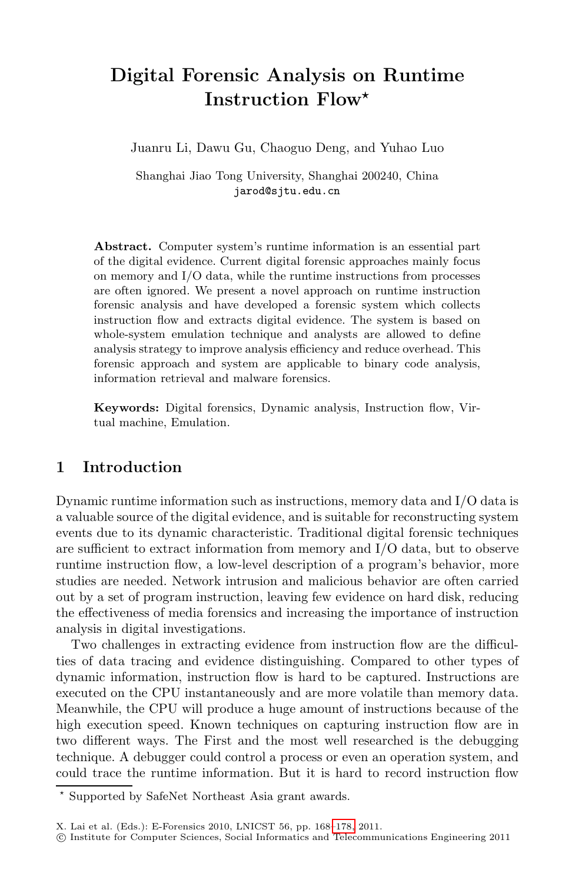# **Digital Forensic Analysis on Runtime Instruction Flow***-*

Juanru Li, Dawu Gu, Chaoguo Deng, and Yuhao Luo

Shanghai Jiao Tong University, Shanghai 200240, China jarod@sjtu.edu.cn

**Abstract.** Computer system's runtime information is an essential part of the digital evidence. Current digital forensic approaches mainly focus on memory and I/O data, while the runtime instructions from processes are often ignored. We present a novel approach on runtime instruction forensic analysis and have developed a forensic system which collects instruction flow and extracts digital evidence. The system is based on whole-system emulation technique and analysts are allowed to define analysis strategy to improve analysis efficiency and reduce overhead. This forensic approach and system are applicable to binary code analysis, information retrieval and malware forensics.

**Keywords:** Digital forensics, Dynamic analysis, Instruction flow, Virtual machine, Emulation.

## **1 Introduction**

Dynamic runtime information such as instructions, memory data and I/O data is a valuable source of the digital evidence, and is suitable for reconstructing system events due to its dynamic characteristic. Traditional digital forensic techniques are sufficient to extract information from memory and I/O data, but to observe runtime instruction flow, a low-level description of a program's behavior, more studies are needed. Network intrusion and malicious behavior are often carried out by a set of program instruction, leaving few evidence on hard disk, reducing the effectiveness of media forensics and increasing the importance of instruction analysis in digital investigations.

Two challenges in extracting evidence from instruction flow are the difficulties of data tracing and evidence distinguishing. Compared to other types of dynamic information, instruction flow is hard to be captured. Instructions are executed on the CPU instantaneously and are more volatile than memory data. Meanwhile, the CPU will produce a huge amount of instructions because of the high execution speed. Known techniques on capturing instruction flow are in two different ways. The First and the most well researched is the debugging technique. A debugger could control a process or even an operation system, and could trace the runtime information. But it is hard to record instruction flow

<sup>-</sup> Supported by SafeNet Northeast Asia grant awards.

X. Lai et al. (Eds.): E-Forensics 2010, LNICST 56, pp. 168[–178,](#page-10-0) 2011.

<sup>-</sup>c Institute for Computer Sciences, Social Informatics and Telecommunications Engineering 2011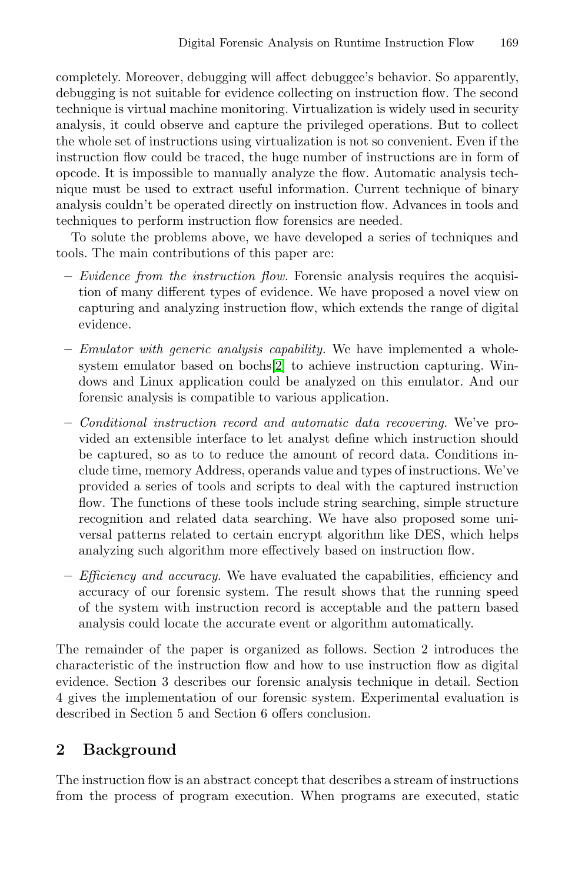completely. Moreover, debugging will affect debuggee's behavior. So apparently, debugging is not suitable for evidence collecting on instruction flow. The second technique is virtual machine monitoring. Virtualization is widely used in security analysis, it could observe and capture the privileged operations. But to collect the whole set of instructions using virtualization is not so convenient. Even if the instruction flow could be traced, the huge number of instructions are in form of opcode. It is impossible to manually analyze the flow. Automatic analysis technique must be used to extract useful information. Current technique of binary analysis couldn't be operated directly on instruction flow. Advances in tools and techniques to perform instruction flow forensics are needed.

To solute the problems above, we have developed a series of techniques and tools. The main contributions of this paper are:

- **–** *Evidence from the instruction flow.* Forensic analysis requires the acquisition of many different types of evidence. We have proposed a novel view on capturing and analyzing instruction flow, which extends the range of digital evidence.
- **–** *Emulator with generic analysis capability.* We have implemented a wholesystem emulator based on bochs[\[2\]](#page-9-0) to achieve instruction capturing. Windows and Linux application could be analyzed on this emulator. And our forensic analysis is compatible to various application.
- **–** *Conditional instruction record and automatic data recovering.* We've provided an extensible interface to let analyst define which instruction should be captured, so as to to reduce the amount of record data. Conditions include time, memory Address, operands value and types of instructions. We've provided a series of tools and scripts to deal with the captured instruction flow. The functions of these tools include string searching, simple structure recognition and related data searching. We have also proposed some universal patterns related to certain encrypt algorithm like DES, which helps analyzing such algorithm more effectively based on instruction flow.
- **–** *Efficiency and accuracy.* We have evaluated the capabilities, efficiency and accuracy of our forensic system. The result shows that the running speed of the system with instruction record is acceptable and the pattern based analysis could locate the accurate event or algorithm automatically.

The remainder of the paper is organized as follows. Section 2 introduces the characteristic of the instruction flow and how to use instruction flow as digital evidence. Section 3 describes our forensic analysis technique in detail. Section 4 gives the implementation of our forensic system. Experimental evaluation is described in Section 5 and Section 6 offers conclusion.

## **2 Background**

The instruction flow is an abstract concept that describes a stream of instructions from the process of program execution. When programs are executed, static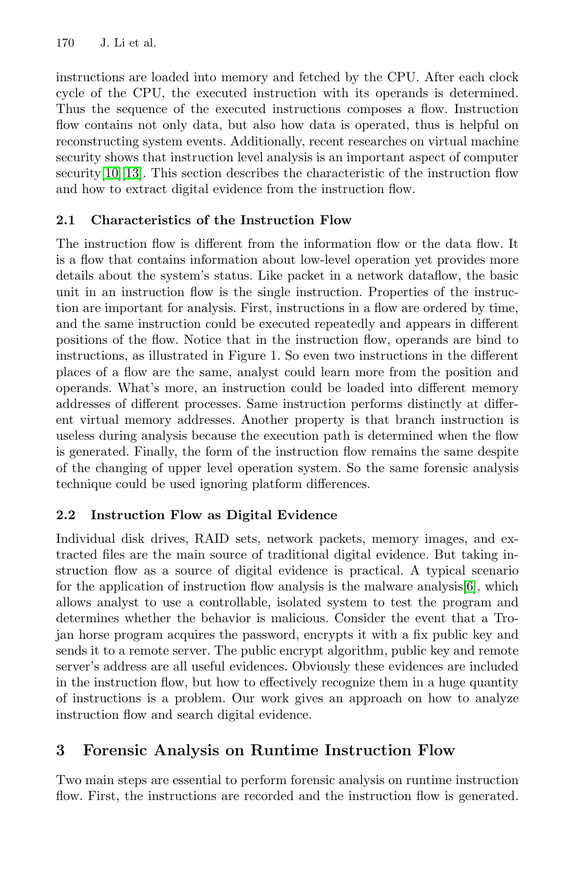instructions are loaded into memory and fetched by the CPU. After each clock cycle of the CPU, the executed instruction with its operands is determined. Thus the sequence of the executed instructions composes a flow. Instruction flow contains not only data, but also how data is operated, thus is helpful on reconstructing system events. Additionally, recent researches on virtual machine security shows that instruction level analysis is an important aspect of computer security[\[10\]](#page-10-1)[\[13\]](#page-10-2). This section describes the characteristic of the instruction flow and how to extract digital evidence from the instruction flow.

## **2.1 Characteristics of the Instruction Flow**

The instruction flow is different from the information flow or the data flow. It is a flow that contains information about low-level operation yet provides more details about the system's status. Like packet in a network dataflow, the basic unit in an instruction flow is the single instruction. Properties of the instruction are important for analysis. First, instructions in a flow are ordered by time, and the same instruction could be executed repeatedly and appears in different positions of the flow. Notice that in the instruction flow, operands are bind to instructions, as illustrated in Figure 1. So even two instructions in the different places of a flow are the same, analyst could learn more from the position and operands. What's more, an instruction could be loaded into different memory addresses of different processes. Same instruction performs distinctly at different virtual memory addresses. Another property is that branch instruction is useless during analysis because the execution path is determined when the flow is generated. Finally, the form of the instruction flow remains the same despite of the changing of upper level operation system. So the same forensic analysis technique could be used ignoring platform differences.

## **2.2 Instruction Flow as Digital Evidence**

Individual disk drives, RAID sets, network packets, memory images, and extracted files are the main source of traditional digital evidence. But taking instruction flow as a source of digital evidence is practical. A typical scenario for the application of instruction flow analysis is the malware analysis[\[6\]](#page-9-1), which allows analyst to use a controllable, isolated system to test the program and determines whether the behavior is malicious. Consider the event that a Trojan horse program acquires the password, encrypts it with a fix public key and sends it to a remote server. The public encrypt algorithm, public key and remote server's address are all useful evidences. Obviously these evidences are included in the instruction flow, but how to effectively recognize them in a huge quantity of instructions is a problem. Our work gives an approach on how to analyze instruction flow and search digital evidence.

## **3 Forensic Analysis on Runtime Instruction Flow**

Two main steps are essential to perform forensic analysis on runtime instruction flow. First, the instructions are recorded and the instruction flow is generated.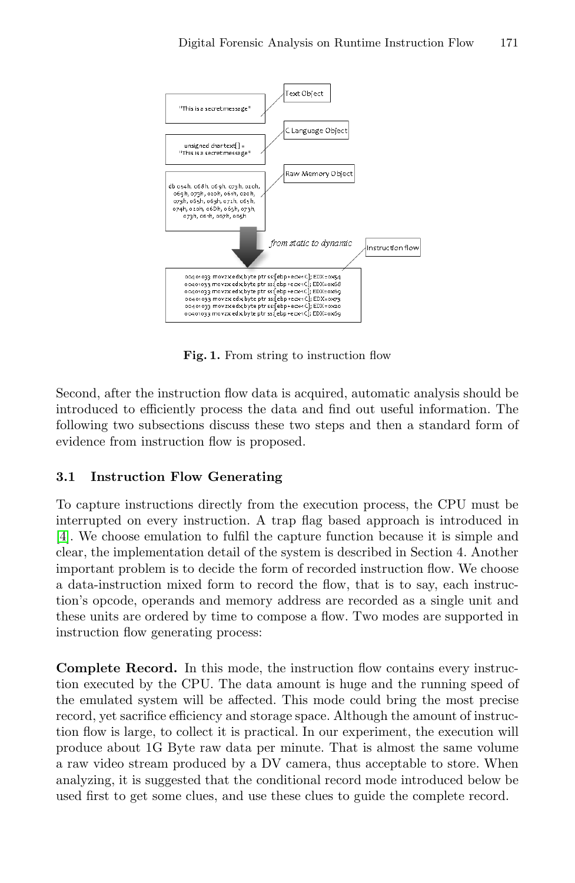

**Fig. 1.** From string to instruction flow

Second, after the instruction flow data is acquired, automatic analysis should be introduced to efficiently process the data and find out useful information. The following two subsections discuss these two steps and then a standard form of evidence from instruction flow is proposed.

#### **3.1 Instruction Flow Generating**

To capture instructions directly from the execution process, the CPU must be interrupted on every instruction. A trap flag based approach is introduced in [\[4\]](#page-9-2). We choose emulation to fulfil the capture function because it is simple and clear, the implementation detail of the system is described in Section 4. Another important problem is to decide the form of recorded instruction flow. We choose a data-instruction mixed form to record the flow, that is to say, each instruction's opcode, operands and memory address are recorded as a single unit and these units are ordered by time to compose a flow. Two modes are supported in instruction flow generating process:

**Complete Record.** In this mode, the instruction flow contains every instruction executed by the CPU. The data amount is huge and the running speed of the emulated system will be affected. This mode could bring the most precise record, yet sacrifice efficiency and storage space. Although the amount of instruction flow is large, to collect it is practical. In our experiment, the execution will produce about 1G Byte raw data per minute. That is almost the same volume a raw video stream produced by a DV camera, thus acceptable to store. When analyzing, it is suggested that the conditional record mode introduced below be used first to get some clues, and use these clues to guide the complete record.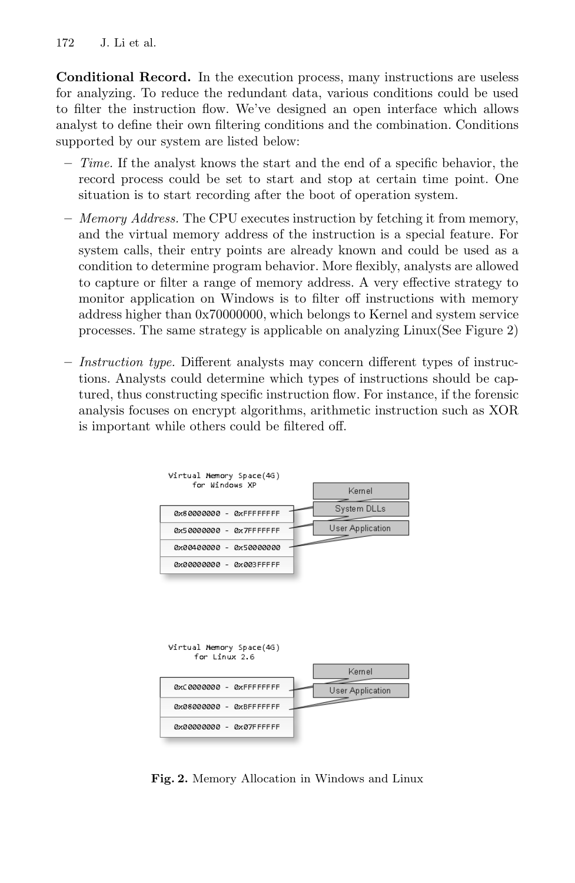**Conditional Record.** In the execution process, many instructions are useless for analyzing. To reduce the redundant data, various conditions could be used to filter the instruction flow. We've designed an open interface which allows analyst to define their own filtering conditions and the combination. Conditions supported by our system are listed below:

- **–** *Time.* If the analyst knows the start and the end of a specific behavior, the record process could be set to start and stop at certain time point. One situation is to start recording after the boot of operation system.
- **–** *Memory Address.* The CPU executes instruction by fetching it from memory, and the virtual memory address of the instruction is a special feature. For system calls, their entry points are already known and could be used as a condition to determine program behavior. More flexibly, analysts are allowed to capture or filter a range of memory address. A very effective strategy to monitor application on Windows is to filter off instructions with memory address higher than 0x70000000, which belongs to Kernel and system service processes. The same strategy is applicable on analyzing Linux(See Figure 2)
- **–** *Instruction type.* Different analysts may concern different types of instructions. Analysts could determine which types of instructions should be captured, thus constructing specific instruction flow. For instance, if the forensic analysis focuses on encrypt algorithms, arithmetic instruction such as XOR is important while others could be filtered off.



**Fig. 2.** Memory Allocation in Windows and Linux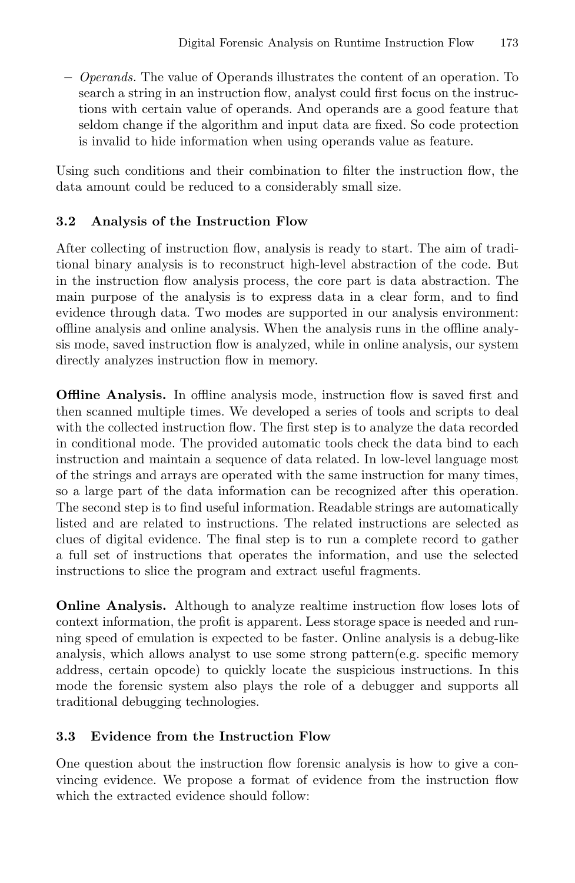**–** *Operands.* The value of Operands illustrates the content of an operation. To search a string in an instruction flow, analyst could first focus on the instructions with certain value of operands. And operands are a good feature that seldom change if the algorithm and input data are fixed. So code protection is invalid to hide information when using operands value as feature.

Using such conditions and their combination to filter the instruction flow, the data amount could be reduced to a considerably small size.

#### **3.2 Analysis of the Instruction Flow**

After collecting of instruction flow, analysis is ready to start. The aim of traditional binary analysis is to reconstruct high-level abstraction of the code. But in the instruction flow analysis process, the core part is data abstraction. The main purpose of the analysis is to express data in a clear form, and to find evidence through data. Two modes are supported in our analysis environment: offline analysis and online analysis. When the analysis runs in the offline analysis mode, saved instruction flow is analyzed, while in online analysis, our system directly analyzes instruction flow in memory.

**Offline Analysis.** In offline analysis mode, instruction flow is saved first and then scanned multiple times. We developed a series of tools and scripts to deal with the collected instruction flow. The first step is to analyze the data recorded in conditional mode. The provided automatic tools check the data bind to each instruction and maintain a sequence of data related. In low-level language most of the strings and arrays are operated with the same instruction for many times, so a large part of the data information can be recognized after this operation. The second step is to find useful information. Readable strings are automatically listed and are related to instructions. The related instructions are selected as clues of digital evidence. The final step is to run a complete record to gather a full set of instructions that operates the information, and use the selected instructions to slice the program and extract useful fragments.

**Online Analysis.** Although to analyze realtime instruction flow loses lots of context information, the profit is apparent. Less storage space is needed and running speed of emulation is expected to be faster. Online analysis is a debug-like analysis, which allows analyst to use some strong pattern(e.g. specific memory address, certain opcode) to quickly locate the suspicious instructions. In this mode the forensic system also plays the role of a debugger and supports all traditional debugging technologies.

#### **3.3 Evidence from the Instruction Flow**

One question about the instruction flow forensic analysis is how to give a convincing evidence. We propose a format of evidence from the instruction flow which the extracted evidence should follow: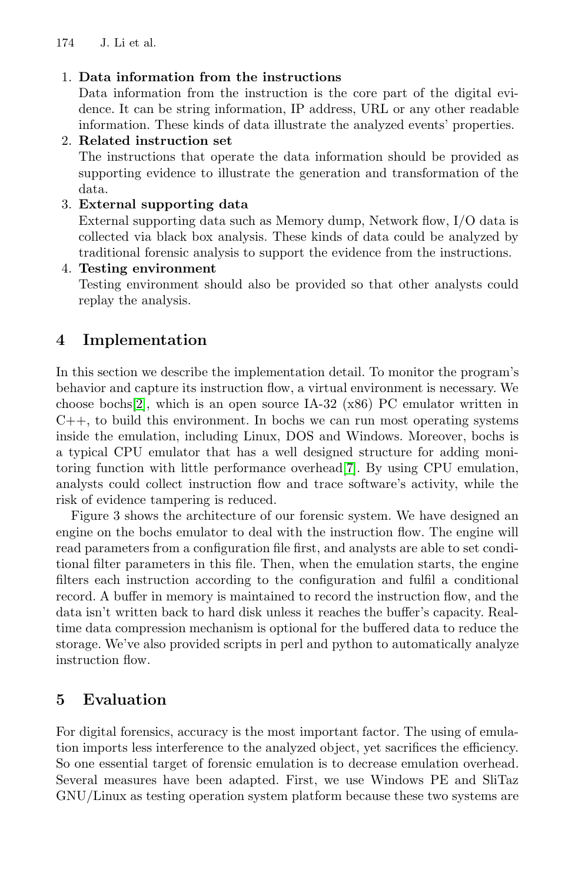174 J. Li et al.

#### 1. **Data information from the instructions**

Data information from the instruction is the core part of the digital evidence. It can be string information, IP address, URL or any other readable information. These kinds of data illustrate the analyzed events' properties.

#### 2. **Related instruction set**

The instructions that operate the data information should be provided as supporting evidence to illustrate the generation and transformation of the data.

#### 3. **External supporting data**

External supporting data such as Memory dump, Network flow, I/O data is collected via black box analysis. These kinds of data could be analyzed by traditional forensic analysis to support the evidence from the instructions.

#### 4. **Testing environment**

Testing environment should also be provided so that other analysts could replay the analysis.

## **4 Implementation**

In this section we describe the implementation detail. To monitor the program's behavior and capture its instruction flow, a virtual environment is necessary. We choose bochs<sup>[\[2\]](#page-9-0)</sup>, which is an open source IA-32 (x86) PC emulator written in  $C_{++}$ , to build this environment. In bochs we can run most operating systems inside the emulation, including Linux, DOS and Windows. Moreover, bochs is a typical CPU emulator that has a well designed structure for adding monitoring function with little performance overhead[\[7\]](#page-9-3). By using CPU emulation, analysts could collect instruction flow and trace software's activity, while the risk of evidence tampering is reduced.

Figure 3 shows the architecture of our forensic system. We have designed an engine on the bochs emulator to deal with the instruction flow. The engine will read parameters from a configuration file first, and analysts are able to set conditional filter parameters in this file. Then, when the emulation starts, the engine filters each instruction according to the configuration and fulfil a conditional record. A buffer in memory is maintained to record the instruction flow, and the data isn't written back to hard disk unless it reaches the buffer's capacity. Realtime data compression mechanism is optional for the buffered data to reduce the storage. We've also provided scripts in perl and python to automatically analyze instruction flow.

## **5 Evaluation**

For digital forensics, accuracy is the most important factor. The using of emulation imports less interference to the analyzed object, yet sacrifices the efficiency. So one essential target of forensic emulation is to decrease emulation overhead. Several measures have been adapted. First, we use Windows PE and SliTaz GNU/Linux as testing operation system platform because these two systems are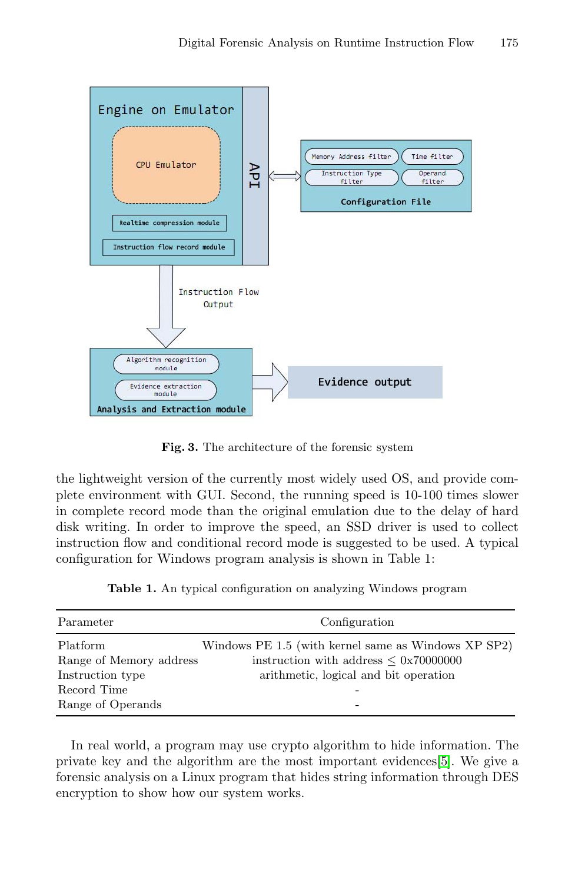

**Fig. 3.** The architecture of the forensic system

the lightweight version of the currently most widely used OS, and provide complete environment with GUI. Second, the running speed is 10-100 times slower in complete record mode than the original emulation due to the delay of hard disk writing. In order to improve the speed, an SSD driver is used to collect instruction flow and conditional record mode is suggested to be used. A typical configuration for Windows program analysis is shown in Table 1:

**Table 1.** An typical configuration on analyzing Windows program

| Parameter                           | Configuration                                                                                            |
|-------------------------------------|----------------------------------------------------------------------------------------------------------|
| Platform<br>Range of Memory address | Windows PE 1.5 (with kernel same as Windows XP SP2)<br>instruction with address $\leq 0 \times 70000000$ |
| Instruction type                    | arithmetic, logical and bit operation                                                                    |
| Record Time<br>Range of Operands    | -                                                                                                        |

In real world, a program may use crypto algorithm to hide information. The private key and the algorithm are the most important evidences[\[5\]](#page-9-4). We give a forensic analysis on a Linux program that hides string information through DES encryption to show how our system works.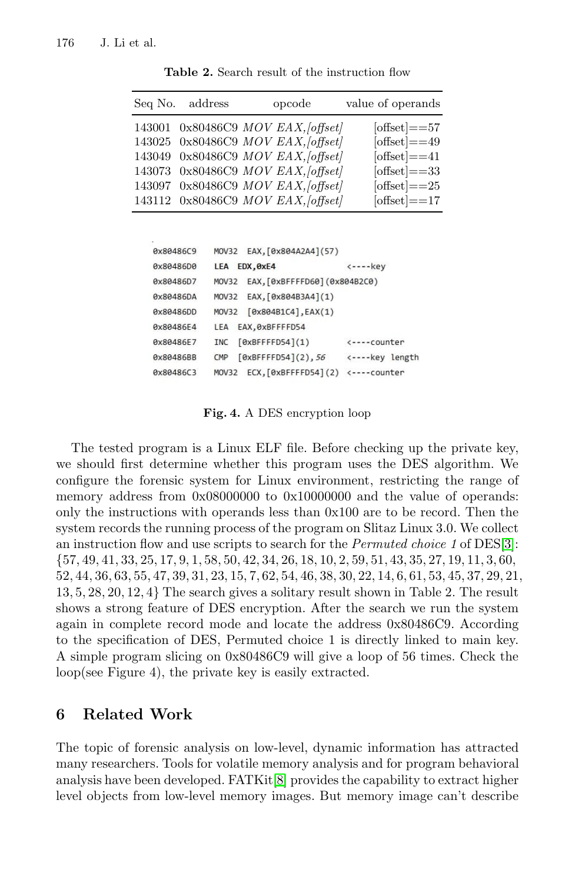| Seq No. address | opcode                             | value of operands |
|-----------------|------------------------------------|-------------------|
|                 | 143001 0x80486C9 MOV EAX, [offset] | $[offset] == 57$  |
|                 | 143025 0x80486C9 MOV EAX, [offset] | $[offset] == 49$  |
|                 | 143049 0x80486C9 MOV EAX, [offset] | $[offset] == 41$  |
|                 | 143073 0x80486C9 MOV EAX, [offset] | $[offset] == 33$  |
|                 | 143097 0x80486C9 MOV EAX, [offset] | [offset] $==25$   |
|                 | 143112 0x80486C9 MOV EAX, [offset] | $[offset] == 17$  |
|                 |                                    |                   |

**Table 2.** Search result of the instruction flow

| 0x80486C9 | MOV32 EAX, [0x804A2A4] (57)                  |                             |
|-----------|----------------------------------------------|-----------------------------|
| 0x80486D0 | EDX, OXE4<br>LEA                             | $\leftarrow - - \text{key}$ |
| 0x80486D7 | MOV32 EAX, [0xBFFFFD60] (0x804B2C0)          |                             |
| 0x80486DA | EAX, [0x804B3A4](1)<br>MOV32                 |                             |
| 0x80486DD | MOV32 [0x804B1C4], EAX(1)                    |                             |
| 0x80486E4 | LEA EAX, ØxBFFFFD54                          |                             |
| 0x80486E7 | [0xBFFFFDS4](1)<br><b>INC</b>                | <----counter                |
| 0x80486BB | [0xBFFFPD54](2), 56<br>CMP                   | <----key length             |
| Ax80486C3 | $ECX, [0xBFFFPD54](2)$ <----counter<br>MOV32 |                             |
|           |                                              |                             |

**Fig. 4.** A DES encryption loop

The tested program is a Linux ELF file. Before checking up the private key, we should first determine whether this program uses the DES algorithm. We configure the forensic system for Linux environment, restricting the range of memory address from  $0x08000000$  to  $0x10000000$  and the value of operands: only the instructions with operands less than 0x100 are to be record. Then the system records the running process of the program on Slitaz Linux 3.0. We collect an instruction flow and use scripts to search for the *Permuted choice 1* of DES[\[3\]](#page-9-5):  $\{57, 49, 41, 33, 25, 17, 9, 1, 58, 50, 42, 34, 26, 18, 10, 2, 59, 51, 43, 35, 27, 19, 11, 3, 60,$  $52, 44, 36, 63, 55, 47, 39, 31, 23, 15, 7, 62, 54, 46, 38, 30, 22, 14, 6, 61, 53, 45, 37, 29, 21,$ 13*,* 5*,* 28*,* 20*,* 12*,* 4*}* The search gives a solitary result shown in Table 2. The result shows a strong feature of DES encryption. After the search we run the system again in complete record mode and locate the address 0x80486C9. According to the specification of DES, Permuted choice 1 is directly linked to main key. A simple program slicing on 0x80486C9 will give a loop of 56 times. Check the loop(see Figure 4), the private key is easily extracted.

#### **6 Related Work**

The topic of forensic analysis on low-level, dynamic information has attracted many researchers. Tools for volatile memory analysis and for program behavioral analysis have been developed. FATKit[\[8\]](#page-9-6) provides the capability to extract higher level objects from low-level memory images. But memory image can't describe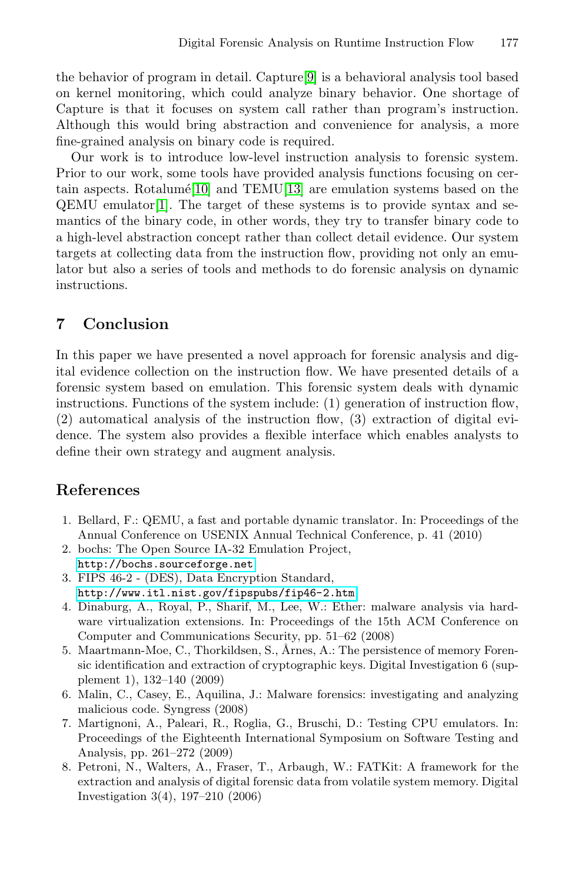the behavior of program in detail. Capture[\[9\]](#page-10-3) is a behavioral analysis tool based on kernel monitoring, which could analyze binary behavior. One shortage of Capture is that it focuses on system call rather than program's instruction. Although this would bring abstraction and convenience for analysis, a more fine-grained analysis on binary code is required.

Our work is to introduce low-level instruction analysis to forensic system. Prior to our work, some tools have provided analysis functions focusing on cer-tain aspects. Rotalume<sup>[\[10\]](#page-10-1)</sup> and TEMU<sup>[\[13\]](#page-10-2)</sup> are emulation systems based on the  $QEMU$  emulator $|1|$ . The target of these systems is to provide syntax and semantics of the binary code, in other words, they try to transfer binary code to a high-level abstraction concept rather than collect detail evidence. Our system targets at collecting data from the instruction flow, providing not only an emulator but also a series of tools and methods to do forensic analysis on dynamic instructions.

#### **7 Conclusion**

In this paper we have presented a novel approach for forensic analysis and digital evidence collection on the instruction flow. We have presented details of a forensic system based on emulation. This forensic system deals with dynamic instructions. Functions of the system include: (1) generation of instruction flow, (2) automatical analysis of the instruction flow, (3) extraction of digital evidence. The system also provides a flexible interface which enables analysts to define their own strategy and augment analysis.

#### <span id="page-9-7"></span>**References**

- 1. Bellard, F.: QEMU, a fast and portable dynamic translator. In: Proceedings of the Annual Conference on USENIX Annual Technical Conference, p. 41 (2010)
- <span id="page-9-0"></span>2. bochs: The Open Source IA-32 Emulation Project, <http://bochs.sourceforge.net>
- <span id="page-9-5"></span>3. FIPS 46-2 - (DES), Data Encryption Standard, <http://www.itl.nist.gov/fipspubs/fip46-2.htm>
- <span id="page-9-2"></span>4. Dinaburg, A., Royal, P., Sharif, M., Lee, W.: Ether: malware analysis via hardware virtualization extensions. In: Proceedings of the 15th ACM Conference on Computer and Communications Security, pp. 51–62 (2008)
- <span id="page-9-4"></span>5. Maartmann-Moe, C., Thorkildsen, S., Årnes, A.: The persistence of memory Forensic identification and extraction of cryptographic keys. Digital Investigation 6 (supplement 1), 132–140 (2009)
- <span id="page-9-1"></span>6. Malin, C., Casey, E., Aquilina, J.: Malware forensics: investigating and analyzing malicious code. Syngress (2008)
- <span id="page-9-3"></span>7. Martignoni, A., Paleari, R., Roglia, G., Bruschi, D.: Testing CPU emulators. In: Proceedings of the Eighteenth International Symposium on Software Testing and Analysis, pp. 261–272 (2009)
- <span id="page-9-6"></span>8. Petroni, N., Walters, A., Fraser, T., Arbaugh, W.: FATKit: A framework for the extraction and analysis of digital forensic data from volatile system memory. Digital Investigation 3(4), 197–210 (2006)